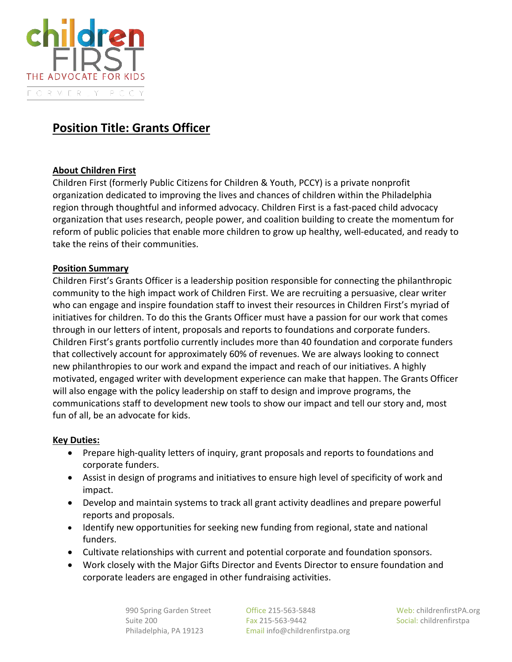

# **Position Title: Grants Officer**

## **About Children First**

Children First (formerly Public Citizens for Children & Youth, PCCY) is a private nonprofit organization dedicated to improving the lives and chances of children within the Philadelphia region through thoughtful and informed advocacy. Children First is a fast-paced child advocacy organization that uses research, people power, and coalition building to create the momentum for reform of public policies that enable more children to grow up healthy, well-educated, and ready to take the reins of their communities.

#### **Position Summary**

Children First's Grants Officer is a leadership position responsible for connecting the philanthropic community to the high impact work of Children First. We are recruiting a persuasive, clear writer who can engage and inspire foundation staff to invest their resources in Children First's myriad of initiatives for children. To do this the Grants Officer must have a passion for our work that comes through in our letters of intent, proposals and reports to foundations and corporate funders. Children First's grants portfolio currently includes more than 40 foundation and corporate funders that collectively account for approximately 60% of revenues. We are always looking to connect new philanthropies to our work and expand the impact and reach of our initiatives. A highly motivated, engaged writer with development experience can make that happen. The Grants Officer will also engage with the policy leadership on staff to design and improve programs, the communications staff to development new tools to show our impact and tell our story and, most fun of all, be an advocate for kids.

#### **Key Duties:**

- Prepare high-quality letters of inquiry, grant proposals and reports to foundations and corporate funders.
- Assist in design of programs and initiatives to ensure high level of specificity of work and impact.
- Develop and maintain systems to track all grant activity deadlines and prepare powerful reports and proposals.
- Identify new opportunities for seeking new funding from regional, state and national funders.
- Cultivate relationships with current and potential corporate and foundation sponsors.
- Work closely with the Major Gifts Director and Events Director to ensure foundation and corporate leaders are engaged in other fundraising activities.

 990 Spring Garden Street Office 215-563-5848 Web: childrenfirstPA.org Suite 200 Fax 215-563-9442 Social: childrenfirstpa Philadelphia, PA 19123 Email info@childrenfirstpa.org